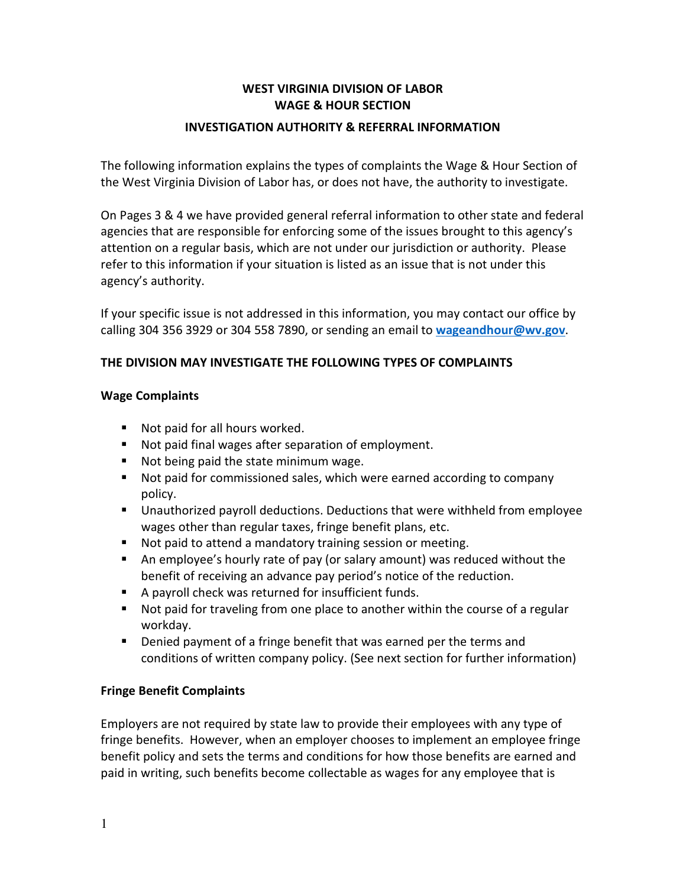## WEST VIRGINIA DIVISION OF LABOR WAGE & HOUR SECTION

#### INVESTIGATION AUTHORITY & REFERRAL INFORMATION

The following information explains the types of complaints the Wage & Hour Section of the West Virginia Division of Labor has, or does not have, the authority to investigate.

On Pages 3 & 4 we have provided general referral information to other state and federal agencies that are responsible for enforcing some of the issues brought to this agency's attention on a regular basis, which are not under our jurisdiction or authority. Please refer to this information if your situation is listed as an issue that is not under this agency's authority.

If your specific issue is not addressed in this information, you may contact our office by calling 304 356 3929 or 304 558 7890, or sending an email to wageandhour@wv.gov.

## THE DIVISION MAY INVESTIGATE THE FOLLOWING TYPES OF COMPLAINTS

#### Wage Complaints

- **Not paid for all hours worked.**
- Not paid final wages after separation of employment.
- Not being paid the state minimum wage.
- Not paid for commissioned sales, which were earned according to company policy.
- Unauthorized payroll deductions. Deductions that were withheld from employee wages other than regular taxes, fringe benefit plans, etc.
- Not paid to attend a mandatory training session or meeting.
- An employee's hourly rate of pay (or salary amount) was reduced without the benefit of receiving an advance pay period's notice of the reduction.
- A payroll check was returned for insufficient funds.
- Not paid for traveling from one place to another within the course of a regular workday.
- **Denied payment of a fringe benefit that was earned per the terms and** conditions of written company policy. (See next section for further information)

#### Fringe Benefit Complaints

Employers are not required by state law to provide their employees with any type of fringe benefits. However, when an employer chooses to implement an employee fringe benefit policy and sets the terms and conditions for how those benefits are earned and paid in writing, such benefits become collectable as wages for any employee that is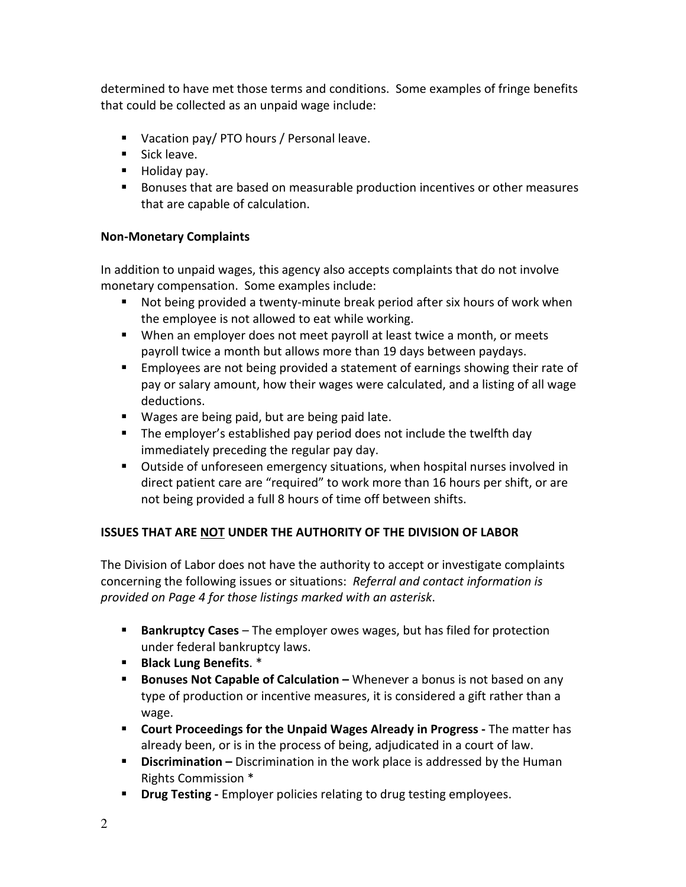determined to have met those terms and conditions. Some examples of fringe benefits that could be collected as an unpaid wage include:

- Vacation pay/ PTO hours / Personal leave.
- **Sick leave.**
- **Holiday pay.**
- Bonuses that are based on measurable production incentives or other measures that are capable of calculation.

# Non-Monetary Complaints

In addition to unpaid wages, this agency also accepts complaints that do not involve monetary compensation. Some examples include:

- Not being provided a twenty-minute break period after six hours of work when the employee is not allowed to eat while working.
- When an employer does not meet payroll at least twice a month, or meets payroll twice a month but allows more than 19 days between paydays.
- **Employees are not being provided a statement of earnings showing their rate of** pay or salary amount, how their wages were calculated, and a listing of all wage deductions.
- **Wages are being paid, but are being paid late.**
- **The employer's established pay period does not include the twelfth day** immediately preceding the regular pay day.
- Outside of unforeseen emergency situations, when hospital nurses involved in direct patient care are "required" to work more than 16 hours per shift, or are not being provided a full 8 hours of time off between shifts.

# ISSUES THAT ARE NOT UNDER THE AUTHORITY OF THE DIVISION OF LABOR

The Division of Labor does not have the authority to accept or investigate complaints concerning the following issues or situations: Referral and contact information is provided on Page 4 for those listings marked with an asterisk.

- **Bankruptcy Cases** The employer owes wages, but has filed for protection under federal bankruptcy laws.
- Black Lung Benefits. \*
- **Bonuses Not Capable of Calculation –** Whenever a bonus is not based on any type of production or incentive measures, it is considered a gift rather than a wage.
- **Court Proceedings for the Unpaid Wages Already in Progress The matter has** already been, or is in the process of being, adjudicated in a court of law.
- **Discrimination** Discrimination in the work place is addressed by the Human Rights Commission \*
- **Drug Testing -** Employer policies relating to drug testing employees.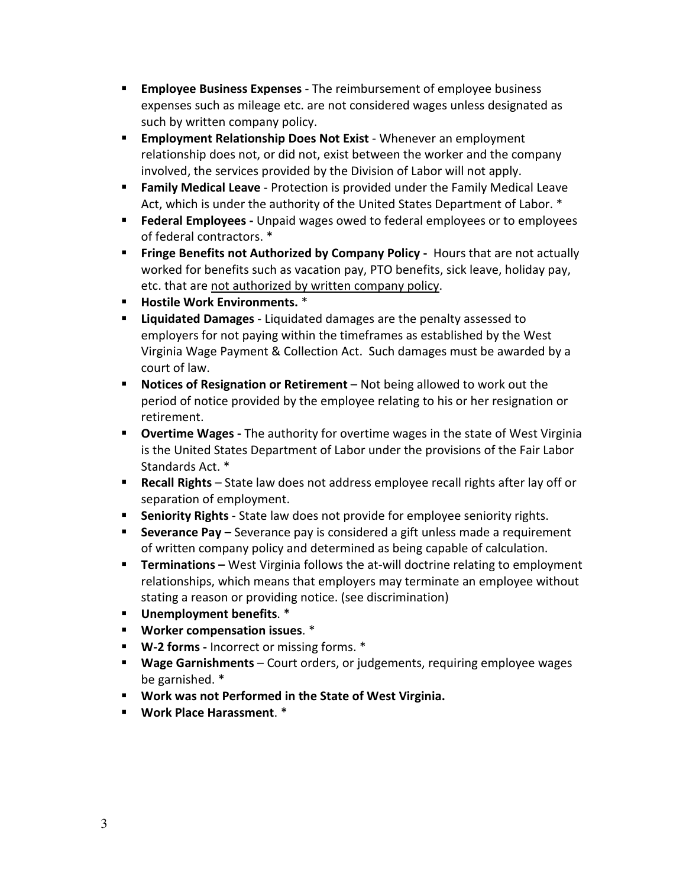- **Employee Business Expenses** The reimbursement of employee business expenses such as mileage etc. are not considered wages unless designated as such by written company policy.
- **Employment Relationship Does Not Exist** Whenever an employment relationship does not, or did not, exist between the worker and the company involved, the services provided by the Division of Labor will not apply.
- **Family Medical Leave** Protection is provided under the Family Medical Leave Act, which is under the authority of the United States Department of Labor. \*
- **Federal Employees -** Unpaid wages owed to federal employees or to employees of federal contractors. \*
- **Finge Benefits not Authorized by Company Policy Hours that are not actually** worked for benefits such as vacation pay, PTO benefits, sick leave, holiday pay, etc. that are not authorized by written company policy.
- **Hostile Work Environments.** \*
- **E** Liquidated Damages Liquidated damages are the penalty assessed to employers for not paying within the timeframes as established by the West Virginia Wage Payment & Collection Act. Such damages must be awarded by a court of law.
- **Notices of Resignation or Retirement** Not being allowed to work out the period of notice provided by the employee relating to his or her resignation or retirement.
- **Dvertime Wages** The authority for overtime wages in the state of West Virginia is the United States Department of Labor under the provisions of the Fair Labor Standards Act. \*
- Recall Rights State law does not address employee recall rights after lay off or separation of employment.
- **Seniority Rights** State law does not provide for employee seniority rights.
- **Severance Pay** Severance pay is considered a gift unless made a requirement of written company policy and determined as being capable of calculation.
- **Terminations** West Virginia follows the at-will doctrine relating to employment relationships, which means that employers may terminate an employee without stating a reason or providing notice. (see discrimination)
- **Unemployment benefits.** \*
- **UPIE:** Worker compensation issues. \*
- W-2 forms Incorrect or missing forms. \*
- **Wage Garnishments** Court orders, or judgements, requiring employee wages be garnished. \*
- Work was not Performed in the State of West Virginia.
- Work Place Harassment. \*